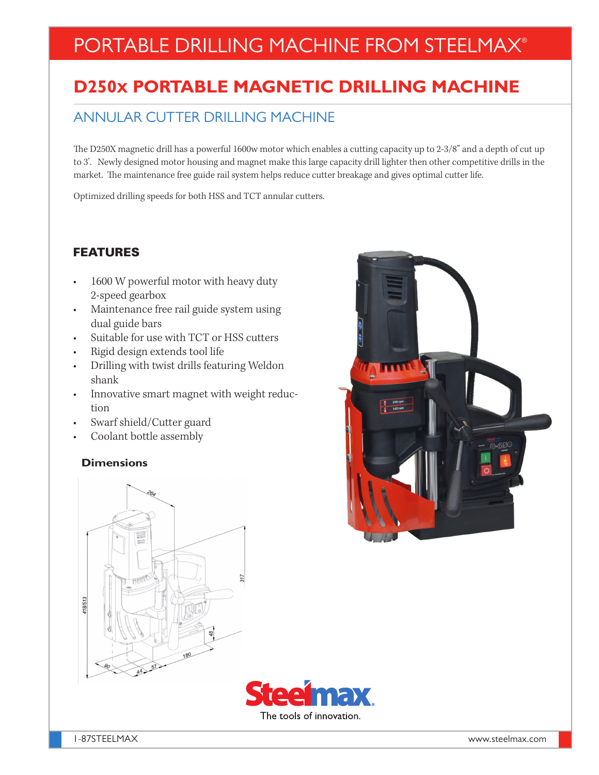# PORTABLE DRILLING MACHINE FROM STEELMAX®

## **D250X PORTABLE MAGNETIC DRILLING MACHINE**

### ANNULAR CUTTER DRILLING MACHINE

The D250X magnetic drill has a powerful 1600w motor which enables a cutting capacity up to 2-3/8" and a depth of cut up to 3'. Newly designed motor housing and magnet make this large capacity drill lighter then other competitive drills in the market. The maintenance free guide rail system helps reduce cutter breakage and gives optimal cutter life.

Optimized drilling speeds for both HSS and TCT annular cutters.

#### FEATURES

- 1600 W powerful motor with heavy duty 2-speed gearbox
- Maintenance free rail guide system using dual guide bars
- Suitable for use with TCT or HSS cutters
- Rigid design extends tool life
- Drilling with twist drills featuring Weldon shank
- Innovative smart magnet with weight reduction
- Swarf shield/Cutter guard
- Coolant bottle assembly

#### **Dimensions**